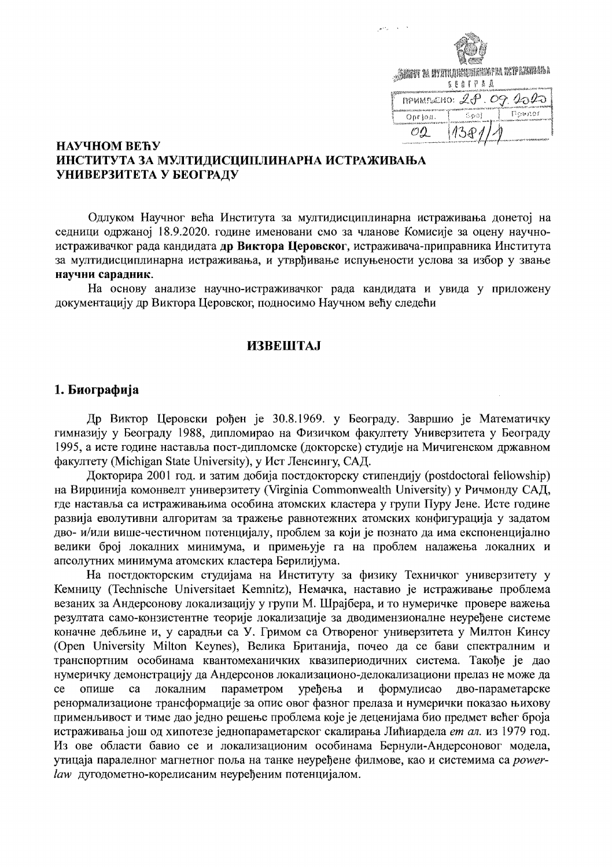

# НАУЧНОМ ВЕЋУ ИНСТИТУТА ЗА МУЛТИДИСЦИПЛИНАРНА ИСТРАЖИВАЊА УНИВЕРЗИТЕТА У БЕОГРАДУ

Одлуком Научног већа Института за мултидисциплинарна истраживања донетој на седници одржаној 18.9.2020. године именовани смо за чланове Комисије за оцену научноистраживачког рада кандидата др Виктора Церовског, истраживача-приправника Института за мултидисциплинарна истраживања, и утврђивање испуњености услова за избор у звање научни сарадник.

На основу анализе научно-истраживачког рада кандидата и увида у приложену документацију др Виктора Церовског, подносимо Научном већу следећи

# **ИЗВЕШТАЈ**

#### 1. Биографија

Др Виктор Церовски рођен је 30.8.1969. у Београду. Завршио је Математичку гимназију у Београду 1988, дипломирао на Физичком факултету Универзитета у Београду 1995, а исте године наставља пост-дипломске (докторске) студије на Мичигенском државном факултету (Michigan State University), у Ист Ленсингу, САД.

Докторира 2001 год. и затим добија постдокторску стипендију (postdoctoral fellowship) на Вирџинија комонвелт универзитету (Virginia Commonwealth University) у Ричмонду САД, где наставља са истраживањима особина атомских кластера у групи Пуру Јене. Исте године развија еволутивни алгоритам за тражење равнотежних атомских конфигурација у задатом дво- и/или више-честичном потенцијалу, проблем за који је познато да има експоненцијално велики број локалних минимума, и примењује га на проблем налажења локалних и апсолутних минимума атомских кластера Берилијума.

На постдокторским студијама на Институту за физику Техничког универзитету у Кемницу (Technische Universitaet Kemnitz), Немачка, наставио је истраживање проблема везаних за Андерсонову локализацију у групи М. Шрајбера, и то нумеричке провере важења резултата само-конзистентне теорије локализације за дводимензионалне неуређене системе коначне дебљине и, у сарадњи са У. Гримом са Отвореног универзитета у Милтон Кинсу (Open University Milton Keynes), Велика Британија, почео да се бави спектралним и транспортним особинама квантомеханичких квазипериодичних система. Такође је дао нумеричку демонстрацију да Андерсонов локализационо-делокализациони прелаз не може да опише ca локалним параметром уређења  $\mathbf{M}$ формулисао дво-параметарске ce ренормализационе трансформације за опис овог фазног прелаза и нумерички показао њихову применљивост и тиме дао једно решење проблема које је деценијама био предмет већег броја истраживања још од хипотезе једнопараметарског скалирања Лићиардела ет ал. из 1979 год. Из ове области бавио се и локализационим особинама Бернули-Андерсоновог модела, утицаја паралелног магнетног поља на танке неуређене филмове, као и системима са *power*law дугодометно-корелисаним неуређеним потенцијалом.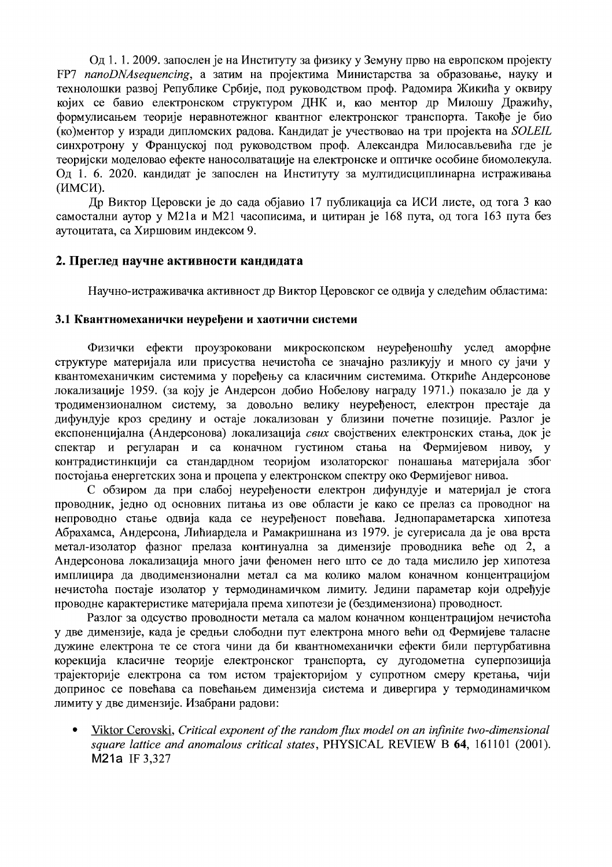Од 1. 1. 2009. запослен је на Институту за физику у Земуну прво на европском пројекту FP7 nanoDNAsequencing, а затим на пројектима Министарства за образовање, науку и технолошки развој Републике Србије, под руководством проф. Радомира Жикића у оквиру којих се бавио електронском структуром ДНК и, као ментор др Милошу Дражићу, формулисањем теорије неравнотежног квантног електронског транспорта. Такође је био (ко)ментор у изради дипломских радова. Кандидат је учествовао на три пројекта на SOLEIL синхротрону у Француској под руководством проф. Александра Милосављевића где је теоријски моделовао ефекте наносолватације на електронске и оптичке особине биомолекула. Од 1. 6. 2020. кандидат је запослен на Институту за мултидисциплинарна истраживања (ИМСИ).

Др Виктор Церовски је до сада објавио 17 публикација са ИСИ листе, од тога 3 као самостални аутор у М21а и М21 часописима, и цитиран је 168 пута, од тога 163 пута без аутоцитата, са Хиршовим индексом 9.

# 2. Преглед научне активности кандидата

Научно-истраживачка активност др Виктор Церовског се одвија у следећим областима:

# 3.1 Квантномеханички неуређени и хаотични системи

Физички ефекти проузроковани микроскопском неуређеношћу услед аморфне структуре материјала или присуства нечистоћа се значајно разликују и много су јачи у квантомеханичким системима у поређењу са класичним системима. Откриће Андерсонове локализације 1959. (за коју је Андерсон добио Нобелову награду 1971.) показало је да у тродимензионалном систему, за довољно велику неуређеност, електрон престаје да дифундује кроз средину и остаје локализован у близини почетне позиције. Разлог је експоненцијална (Андерсонова) локализација свих својствених електронских стања, док је спектар и регуларан и са коначном густином стања на Фермијевом нивоу, у контрадистинкцији са стандардном теоријом изолаторског понашања материјала због постојања енергетских зона и процепа у електронском спектру око Фермијевог нивоа.

С обзиром да при слабој неуређености електрон дифундује и материјал је стога проводник, једно од основних питања из ове области је како се прелаз са проводног на непроводно стање одвија када се неуређеност повећава. Једнопараметарска хипотеза Абрахамса, Андерсона, Лићиардела и Рамакришнана из 1979. је сугерисала да је ова врста метал-изолатор фазног прелаза континуална за димензије проводника веће од 2, а Андерсонова локализација много јачи феномен него што се до тада мислило јер хипотеза имплицира да дводимензионални метал са ма колико малом коначном концентрацијом нечистоћа постаје изолатор у термодинамичком лимиту. Једини параметар који одређује проводне карактеристике материјала према хипотези је (бездимензиона) проводност.

Разлог за одсуство проводности метала са малом коначном концентрацијом нечистоћа у две димензије, када је средњи слободни пут електрона много већи од Фермијеве таласне дужине електрона те се стога чини да би квантномеханички ефекти били пертурбативна корекција класичне теорије електронског транспорта, су дугодометна суперпозиција трајекторије електрона са том истом трајекторијом у супротном смеру кретања, чији допринос се повећава са повећањем димензија система и дивергира у термодинамичком лимиту у две димензије. Изабрани радови:

Viktor Cerovski, Critical exponent of the random flux model on an infinite two-dimensional  $\bullet$ square lattice and anomalous critical states, PHYSICAL REVIEW B 64, 161101 (2001). M21a IF 3,327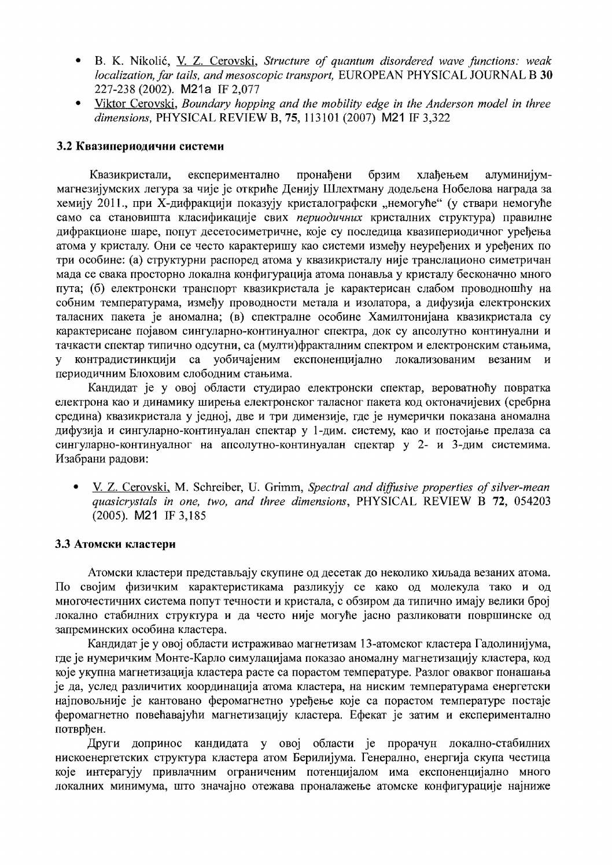- B. K. Nikolić, V. Z. Cerovski, Structure of quantum disordered wave functions: weak  $\bullet$ localization, far tails, and mesoscopic transport, EUROPEAN PHYSICAL JOURNAL B 30 227-238 (2002). M21a IF 2,077
- Viktor Cerovski, Boundary hopping and the mobility edge in the Anderson model in three  $\bullet$ dimensions, PHYSICAL REVIEW B, 75, 113101 (2007) M21 IF 3,322

### 3.2 Квазипериодични системи

Квазикристали, експериментално пронађени брзим хлађењем алуминијуммагнезијумских легура за чије је откриће Денију Шлехтману додељена Нобелова награда за хемију 2011., при Х-дифракцији показују кристалографски "немогуће" (у ствари немогуће само са становишта класификације свих периодичних кристалних структура) правилне дифракционе шаре, попут десетосиметричне, које су последица квазипериодичног уређења атома у кристалу. Они се често карактеришу као системи између неуређених и уређених по три особине: (а) структурни распоред атома у квазикристалу није транслационо симетричан мада се свака просторно локална конфигурација атома понавља у кристалу бесконачно много пута; (б) електронски транспорт квазикристала је карактерисан слабом проводношћу на собним температурама, између проводности метала и изолатора, а дифузија електронских таласних пакета је аномална; (в) спектралне особине Хамилтонијана квазикристала су карактерисане појавом сингуларно-континуалног спектра, док су апсолутно континуални и тачкасти спектар типично одсутни, са (мулти)фракталним спектром и електронским стањима, контрадистинкцији са уобичајеним експоненцијално локализованим везаним  $\mathbf{V}$  $\overline{u}$ периодичним Блоховим слободним стањима.

Кандидат је у овој области студирао електронски спектар, вероватноћу повратка електрона као и динамику ширења електронског таласног пакета код октоначијевих (сребрна средина) квазикристала у једној, две и три димензије, где је нумерички показана аномална дифузија и сингуларно-континуалан спектар у 1-дим. систему, као и постојање прелаза са сингуларно-континуалног на апсолутно-континуалан спектар у 2- и 3-дим системима. Изабрани радови:

V. Z. Cerovski, M. Schreiber, U. Grimm, Spectral and diffusive properties of silver-mean quasicrystals in one, two, and three dimensions, PHYSICAL REVIEW B 72, 054203  $(2005)$ . M21 IF 3,185

#### 3.3 Атомски кластери

Атомски кластери представљају скупине од десетак до неколико хиљада везаних атома. По својим физичким карактеристикама разликују се како од молекула тако и од многочестичних система попут течности и кристала, с обзиром да типично имају велики број локално стабилних структура и да често није могуће јасно разликовати површинске од запреминских особина кластера.

Кандидат је у овој области истраживао магнетизам 13-атомског кластера Гадолинијума, где је нумеричким Монте-Карло симулацијама показао аномалну магнетизацију кластера, код које укупна магнетизација кластера расте са порастом температуре. Разлог оваквог понашања је да, услед различитих координација атома кластера, на ниским температурама енергетски најповољније је кантовано феромагнетно уређење које са порастом температуре постаје феромагнетно повећавајући магнетизацију кластера. Ефекат је затим и експериментално потврђен.

Други допринос кандидата у овој области је прорачун локално-стабилних нискоенергетских структура кластера атом Берилијума. Генерално, енергија скупа честица које интерагују привлачним ограниченим потенцијалом има експоненцијално много локалних минимума, што значајно отежава проналажење атомске конфигурације најниже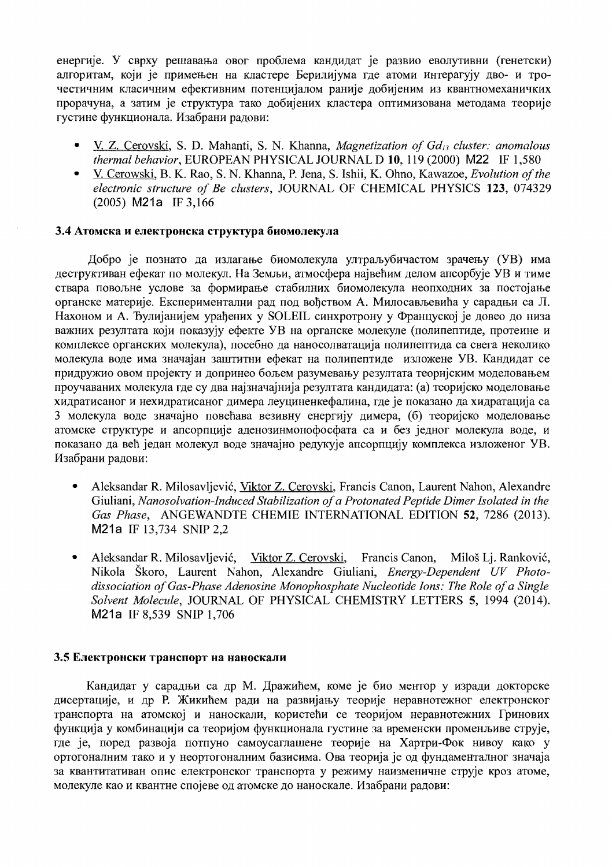енергије. У сврху решавања овог проблема кандидат је развио еволутивни (генетски) алгоритам, који је примењен на кластере Берилијума где атоми интерагују дво- и трочестичним класичним ефективним потенцијалом раније добијеним из квантномеханичких прорачуна, а затим је структура тако добијених кластера оптимизована методама теорије густине функционала. Изабрани радови:

- V. Z. Cerovski, S. D. Mahanti, S. N. Khanna, Magnetization of Gd<sub>13</sub> cluster: anomalous thermal behavior, EUROPEAN PHYSICAL JOURNAL D 10, 119 (2000) M22 IF 1,580
- V. Cerowski, B. K. Rao, S. N. Khanna, P. Jena, S. Ishii, K. Ohno, Kawazoe, Evolution of the electronic structure of Be clusters, JOURNAL OF CHEMICAL PHYSICS 123, 074329  $(2005)$  M21a IF 3,166

### 3.4 Атомска и електронска структура биомолекула

Добро је познато да излагање биомолекула ултраљубичастом зрачењу (УВ) има деструктиван ефекат по молекул. На Земљи, атмосфера највећим делом апсорбује УВ и тиме ствара повољне услове за формирање стабилних биомолекула неопходних за постојање органске материје. Експериментални рад под вођством А. Милосављевића у сарадњи са Л. Нахоном и А. Ђулијанијем урађених у SOLEIL синхротрону у Француској је довео до низа важних резултата који показују ефекте УВ на органске молекуле (полипептиде, протеине и комплексе органских молекула), посебно да наносолватација полипептида са свега неколико молекула воде има значајан заштитни ефекат на полипептиде изложене УВ. Кандидат се придружио овом пројекту и допринео бољем разумевању резултата теоријским моделовањем проучаваних молекула где су два најзначајнија резултата кандидата: (а) теоријско моделовање хидратисаног и нехидратисаног димера леуциненкефалина, где је показано да хидратација са 3 молекула воде значајно повећава везивну енергију димера, (б) теоријско моделовање атомске структуре и апсорпције аденозинмонофосфата са и без једног молекула воде, и показано да већ један молекул воде значајно редукује апсорпцију комплекса изложеног УВ. Изабрани радови:

- Aleksandar R. Milosavljević, Viktor Z. Cerovski, Francis Canon, Laurent Nahon, Alexandre Giuliani, Nanosolvation-Induced Stabilization of a Protonated Peptide Dimer Isolated in the Gas Phase, ANGEWANDTE CHEMIE INTERNATIONAL EDITION 52, 7286 (2013). M21a IF 13,734 SNIP 2,2
- Aleksandar R. Milosavljević, Viktor Z. Cerovski, Francis Canon, Miloš Lj. Ranković, Nikola Škoro, Laurent Nahon, Alexandre Giuliani, Energy-Dependent UV Photodissociation of Gas-Phase Adenosine Monophosphate Nucleotide Ions: The Role of a Single Solvent Molecule, JOURNAL OF PHYSICAL CHEMISTRY LETTERS 5, 1994 (2014). M21a IF 8,539 SNIP 1,706

#### 3.5 Електронски транспорт на наноскали

Кандидат у сарадњи са др М. Дражићем, коме је био ментор у изради докторске дисертације, и др Р. Жикићем ради на развијању теорије неравнотежног електронског транспорта на атомској и наноскали, користећи се теоријом неравнотежних Гринових функција у комбинацији са теоријом функционала густине за временски променљиве струје, где је, поред развоја потпуно самоусаглашене теорије на Хартри-Фок нивоу како у ортогоналним тако и у неортогоналним базисима. Ова теорија је од фундаменталног значаја за квантитативан опис електронског транспорта у режиму наизменичне струје кроз атоме, молекуле као и квантне спојеве од атомске до наноскале. Изабрани радови: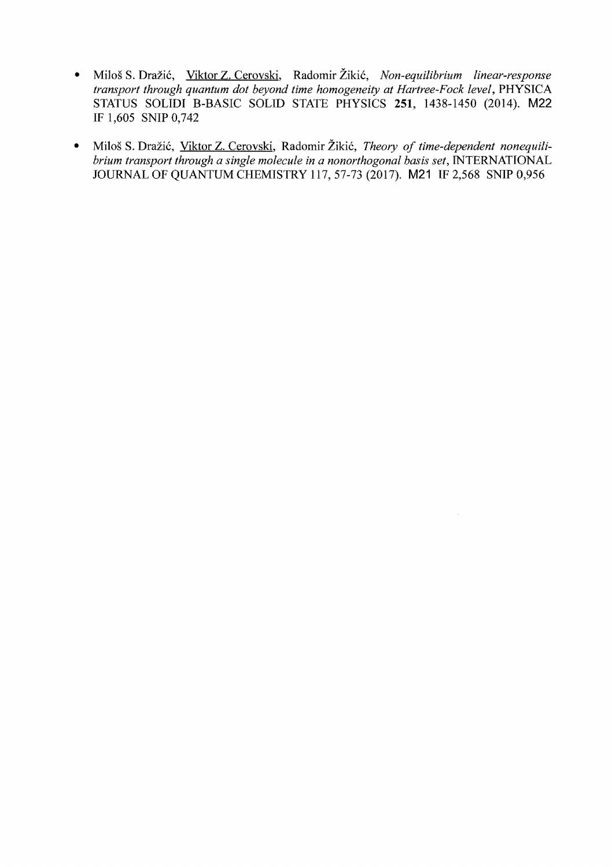- Milos S. Drazi6, Viktor Z. Cerovski, Radomir Ziki6, *Non-equilibrium linear-response transport through quantum dot beyond time homogeneity at Hartree-Fock level, PHYSICA* STATUS SOLIDI B-BASIC SOLID STATE PHYSICS 251, 1438-1450 (2014). M22 IF 1,605 SNIP 0,742
- Miloš S. Dražić, Viktor Z. Cerovski, Radomir Žikić, Theory of time-dependent nonequili*brium transport through a single molecule in a nonorthogonal basis set*, INTERNATIONAL JOURNAL OF QUANTUM CHEMISTRY 117, 57-73 (2017). M21 IF 2,568 SNIP 0,956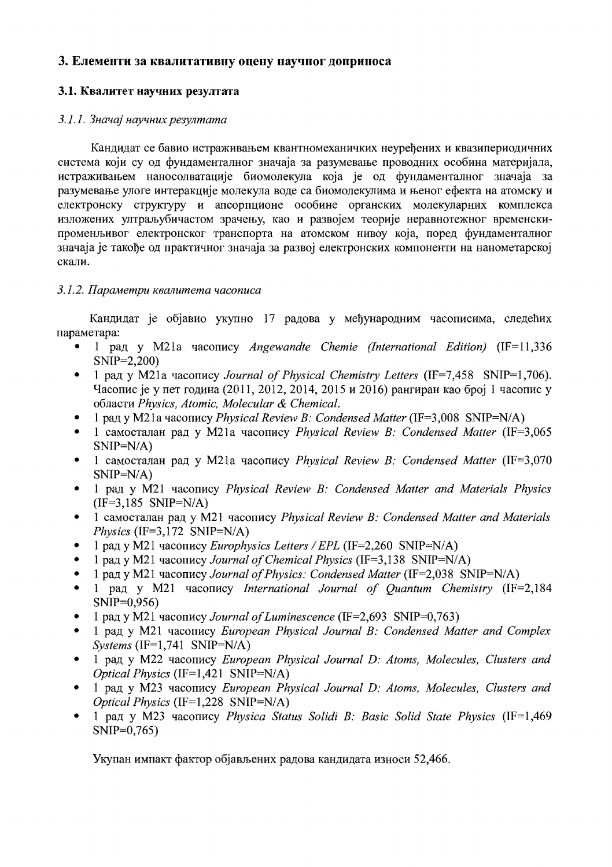# 3. Елементи за квалитативну оцену научног доприноса

# 3.1. Квалитет научних резултата

# 3.1.1. Значај научних резултата

Кандидат се бавио истраживањем квантномеханичких неуређених и квазипериодичних система који су од фундаменталног значаја за разумевање проводних особина материјала, истраживањем наносолватације биомолекула која је од фундаменталног значаја за разумевање улоге интеракције молекула воде са биомолекулима и њеног ефекта на атомску и електронску структуру и апсорпционе особине органских молекуларних комплекса изложених ултральубичастом зрачењу, као и развојем теорије неравнотежног временскипроменьивог електронског транспорта на атомском нивоу која, поред фундаменталног значаја је такође од практичног значаја за развој електронских компоненти на нанометарској скали.

# 3.1.2. Параметри квалитета часописа

Кандидат је објавио укупно 17 радова у међународним часописима, следећих параметара:

- 1 рад у M21a часопису Angewandte Chemie (International Edition)  $(IF=11,336)$  $SNIP=2,200$
- 1 рад у М21а часопису Journal of Physical Chemistry Letters (IF=7.458 SNIP=1.706). Часопис је у пет година (2011, 2012, 2014, 2015 и 2016) рангиран као број 1 часопис у области Physics, Atomic, Molecular & Chemical.
- 1 рад у M21a часопису Physical Review B: Condensed Matter (IF=3,008 SNIP=N/A)
- 1 самосталан рад у М21а часопису Physical Review B: Condensed Matter (IF=3,065  $SNIP=N/A$
- 1 самосталан рад у М21а часопису Physical Review B: Condensed Matter (IF=3,070  $SNIP=N/A$
- 1 рад у M21 часопису Physical Review B: Condensed Matter and Materials Physics  $\bullet$  $(IF=3.185 SNIP=N/A)$
- 1 самосталан рад у M21 часопису Physical Review B: Condensed Matter and Materials Physics (IF=3,172 SNIP=N/A)
- 1 рад у М21 часопису Europhysics Letters / EPL (IF=2,260 SNIP=N/A)
- 1 рад у M21 часопису Journal of Chemical Physics (IF=3,138 SNIP=N/A)
- 1 рад у M21 часопису Journal of Physics: Condensed Matter (IF=2,038 SNIP=N/A)
- 1 рад у M21 часопису International Journal of Quantum Chemistry (IF=2,184)  $SNIP=0,956$
- 1 рад у M21 часопису Journal of Luminescence (IF=2,693 SNIP=0,763)
- 1 рад у M21 часопису European Physical Journal B: Condensed Matter and Complex  $Systems (IF=1.741 SNIP=N/A)$
- 1 рад у M22 часопису European Physical Journal D: Atoms, Molecules, Clusters and  $\bullet$ *Optical Physics* (IF=1,421 SNIP=N/A)
- 1 рад у M23 часопису European Physical Journal D: Atoms, Molecules, Clusters and *Optical Physics* (IF=1,228 SNIP=N/A)
- 1 рад у M23 часопису Physica Status Solidi B: Basic Solid State Physics (IF=1,469)  $SNIP=0,765$

Укупан импакт фактор објављених радова кандидата износи 52,466.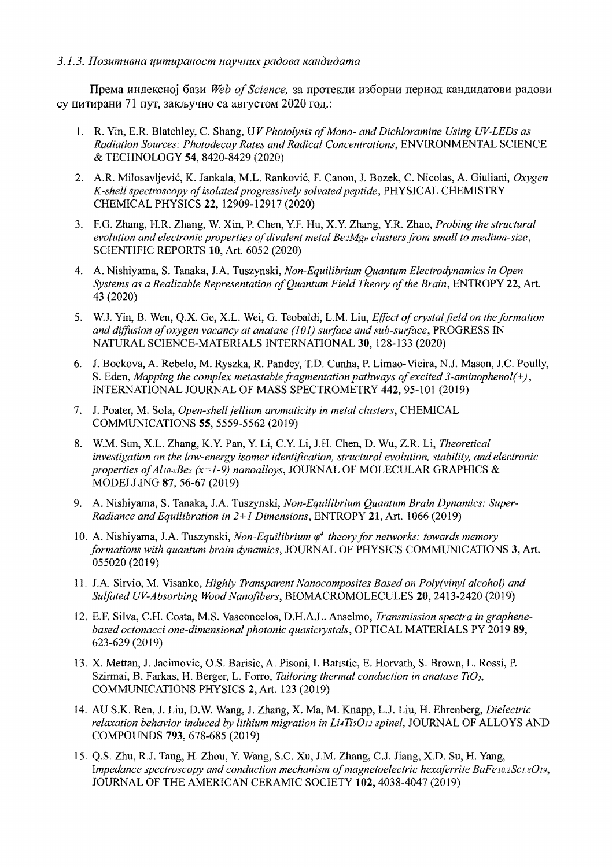#### 3.1.3. Позитивна цитираност научних радова кандидата

Према индексної бази Web of Science, за протекли изборни период кандидатови радови су цитирани 71 пут, закључно са августом 2020 год.:

- 1. R. Yin, E.R. Blatchley, C. Shang, UV Photolysis of Mono- and Dichloramine Using UV-LEDs as Radiation Sources: Photodecay Rates and Radical Concentrations, ENVIRONMENTAL SCIENCE & TECHNOLOGY 54, 8420-8429 (2020)
- 2. A.R. Milosavljević, K. Jankala, M.L. Ranković, F. Canon, J. Bozek, C. Nicolas, A. Giuliani, Oxygen K-shell spectroscopy of isolated progressively solvated peptide, PHYSICAL CHEMISTRY CHEMICAL PHYSICS 22, 12909-12917 (2020)
- 3. F.G. Zhang, H.R. Zhang, W. Xin, P. Chen, Y.F. Hu, X.Y. Zhang, Y.R. Zhao, Probing the structural evolution and electronic properties of divalent metal  $Be_2Mg_n$  clusters from small to medium-size, SCIENTIFIC REPORTS 10, Art. 6052 (2020)
- 4. A. Nishiyama, S. Tanaka, J.A. Tuszynski, Non-Equilibrium Quantum Electrodynamics in Open Systems as a Realizable Representation of Quantum Field Theory of the Brain, ENTROPY 22, Art. 43 (2020)
- 5. W.J. Yin, B. Wen, Q.X. Ge, X.L. Wei, G. Teobaldi, L.M. Liu, Effect of crystal field on the formation and diffusion of oxygen vacancy at anatase  $(101)$  surface and sub-surface, PROGRESS IN NATURAL SCIENCE-MATERIALS INTERNATIONAL 30, 128-133 (2020)
- 6. J. Bockova, A. Rebelo, M. Ryszka, R. Pandey, T.D. Cunha, P. Limao-Vieira, N.J. Mason, J.C. Poully, S. Eden, Mapping the complex metastable fragmentation pathways of excited 3-aminophenol(+), INTERNATIONAL JOURNAL OF MASS SPECTROMETRY 442, 95-101 (2019)
- 7. J. Poater, M. Sola, Open-shell jellium aromaticity in metal clusters, CHEMICAL COMMUNICATIONS 55, 5559-5562 (2019)
- 8. W.M. Sun, X.L. Zhang, K.Y. Pan, Y. Li, C.Y. Li, J.H. Chen, D. Wu, Z.R. Li, Theoretical investigation on the low-energy isomer identification, structural evolution, stability, and electronic properties of Al10-xBex (x=1-9) nanoalloys, JOURNAL OF MOLECULAR GRAPHICS & MODELLING 87, 56-67 (2019)
- 9. A. Nishiyama, S. Tanaka, J.A. Tuszynski, Non-Equilibrium Quantum Brain Dynamics: Super-Radiance and Equilibration in  $2+1$  Dimensions, ENTROPY 21, Art. 1066 (2019)
- 10. A. Nishiyama, J.A. Tuszynski, Non-Equilibrium  $\varphi^4$  theory for networks: towards memory formations with quantum brain dynamics, JOURNAL OF PHYSICS COMMUNICATIONS 3, Art. 055020 (2019)
- 11. J.A. Sirvio, M. Visanko, Highly Transparent Nanocomposites Based on Poly(vinyl alcohol) and Sulfated UV-Absorbing Wood Nanofibers, BIOMACROMOLECULES 20, 2413-2420 (2019)
- 12. E.F. Silva, C.H. Costa, M.S. Vasconcelos, D.H.A.L. Anselmo, Transmission spectra in graphenebased octonacci one-dimensional photonic quasicrystals, OPTICAL MATERIALS PY 2019 89, 623-629 (2019)
- 13. X. Mettan, J. Jacimovic, O.S. Barisic, A. Pisoni, I. Batistic, E. Horvath, S. Brown, L. Rossi, P. Szirmai, B. Farkas, H. Berger, L. Forro, Tailoring thermal conduction in anatase TiO<sub>2</sub>, COMMUNICATIONS PHYSICS 2, Art. 123 (2019)
- 14. AU S.K. Ren, J. Liu, D.W. Wang, J. Zhang, X. Ma, M. Knapp, L.J. Liu, H. Ehrenberg, Dielectric relaxation behavior induced by lithium migration in Li4TisO12 spinel, JOURNAL OF ALLOYS AND COMPOUNDS 793, 678-685 (2019)
- 15. Q.S. Zhu, R.J. Tang, H. Zhou, Y. Wang, S.C. Xu, J.M. Zhang, C.J. Jiang, X.D. Su, H. Yang, Impedance spectroscopy and conduction mechanism of magnetoelectric hexaferrite BaFe10.2Sc1.8O19, JOURNAL OF THE AMERICAN CERAMIC SOCIETY 102, 4038-4047 (2019)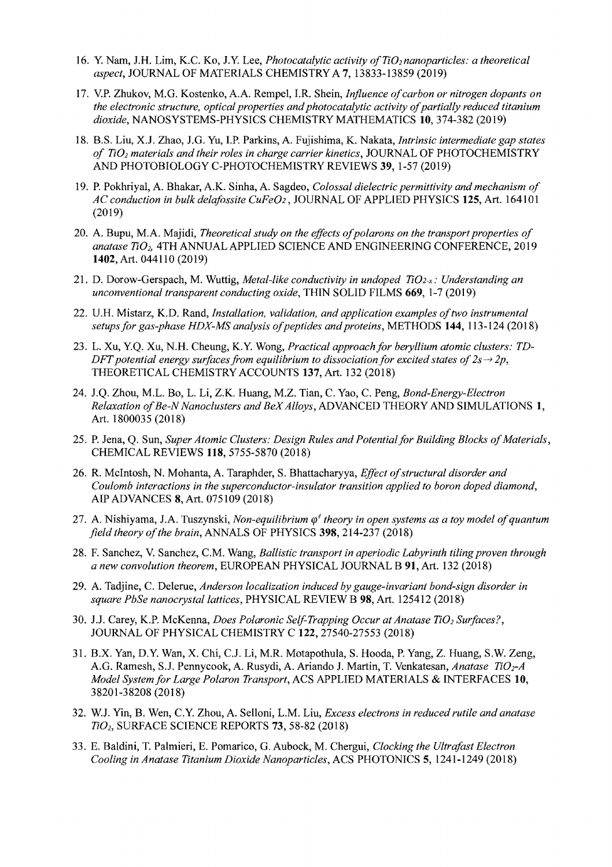- 16. Y. Nam, J.H. Lim, K.C. Ko, J.Y. Lee, *Photocatalytic activity of TiO<sub>2</sub> nanoparticles: a theoretical aspect,* JOURNAL OF MATERIALS CHEMISTRY A 7, 13833~13859 (2019)
- 17. V.P. Zhukov, M.G. Kostenko, A.A. Rempel, LR. Shein, *Influence ofcarbon or nitrogen dopants on* the electronic structure, optical properties and photocatalytic activity of partially reduced titanium *dioxide,* NANOSYSTEMS-PHYSICS CHEMISTRY MATHEMATICS 10,374-382 (2019)
- 18. B.S. Liu, XJ. Zhao, J.G. Yu, LP. Parkins, A. Fujishima, K. Nakata, *Intrinsic intermediate gap states of TiD2 materials and their roles in charge carrier kinetics,* JOURNAL OF PHOTOCHEMISTRY AND PHOTOBIOLOGY C-PHOTOCHEMISTRY REVIEWS 39, 1-57 (2019)
- 19. P. Pokhriyal, A. Bhakar, A.K. Sinha, A. Sagdeo, *Colossal dielectric permittivity and mechanism of AC conduction in bulk delafossite CuFe02,* JOURNAL OF APPLIED PHYSICS 125, Art. 164101 (2019)
- 20. A. Bupu, M.A. Majidi, *Theoretical study on the effects ofpolarons on the transport properties of anatase Ti02,* 4TH ANNUAL APPLIED SCIENCE AND ENGINEERING CONFERENCE, 2019 1402, Art. 044110 (2019)
- 21. D. Dorow-Gerspach, M. Wuttig, *Metal-like conductivity in undoped Ti02-x: Understanding an unconventional transparent conducting oxide,* THIN SOLID FILMS 669, 1-7 (2019)
- 22. U.H. Mistarz, K.D. Rand, *Installation, validation, and application examples oftwo instrumental setupsfor gas-phase HDX-MS analysis ofpeptides andproteins,* METHODS 144, 113-124 (2018)
- 23. L. Xu, Y.Q. Xu, N.H. Cheung, K.Y. Wong, *Practical approach for beryllium atomic clusters:* DFT potential energy surfaces from equilibrium to dissociation for excited states of  $2s \rightarrow 2p$ , THEORETICAL CHEMISTRY ACCOUNTS 137, Art. 132 (2018) *TD-*
- 24. J.Q. Zhou, M.L. Bo, L. Li, Z.K Huang, M.Z. Tian, C. Yao, C. Peng, *Bond-Energy-Electron*  Relaxation of Be-N Nanoclusters and BeX Alloys, ADVANCED THEORY AND SIMULATIONS 1, Art. 1800035 (2018)
- 25. P. Jena, Q. Sun, *Super Atomic Clusters: Design Rules and Potential for Building Blocks of Materials,* CHEMICAL REVIEWS 118,5755-5870 (2018)
- 26. R. McIntosh, N. Mohanta, A. Taraphder, S. Bhattacharyya, *Effect ofstructural disorder and Coulomb interactions in the superconductor-insulator transition applied to boron doped diamond,*  AlP ADVANCES 8, Art. 075109 (2018)
- 27. A. Nishiyama, J.A. Tuszynski, *Non-equilibrium*  $\varphi^4$  theory in open systems as a toy model of quantum *field theory of the brain, ANNALS OF PHYSICS* 398, 214-237 (2018)
- 28. F. Sanchez, V. Sanchez, C.M. Wang, *Ballistic transport in aperiodic Labyrinth tiling proven through a new convolution theorem,* EUROPEAN PHYSICAL JOURNAL B 91, Art. 132 (2018)
- 29. A. Tadjine, C. Delerue, *Anderson localization induced by gauge-invariant bond-sign disorder in square PbSe nanocrystallattices,* PHYSICAL REVIEW B 98, Art. 125412 (2018)
- 30. J.J. Carey, K.P. McKenna, *Does Polaronic Self-Trapping Occur at Anatase TiO<sub>2</sub> Surfaces?*, JOURNAL OF PHYSICAL CHEMISTRY C 122,27540-27553 (2018)
- 31. B.x. Yan, D.Y. Wan, X. Chi, CJ. Li, M.R. Motapothula, S. Hooda, P. Yang, Z. Huang, S.W. Zeng, A.G. Ramesh, SJ. Pennycook, A. Rusydi, A. Ariando J. Martin, T. Venkatesan, *Anatase TiDrA Model System for Large Polaron Transport,* ACS APPLIED MATERIALS & INTERFACES 10, 38201-38208 (2018)
- 32. W.J. Yin, B. Wen, c.Y. Zhou, A. Selloni, L.M. Liu, *Excess electrons in reduced rutile and anatase Ti02,* SURFACE SCIENCE REPORTS 73, 58-82 (2018)
- 33. E. Baldini, T. Palmieri, E. Pomarico, G. Aubock, M. Chergui, *Clocking the Ultrafast Electron Cooling in Anatase Titanium Dioxide Nanoparticles,* ACS PHOTONICS 5, 1241-1249 (2018)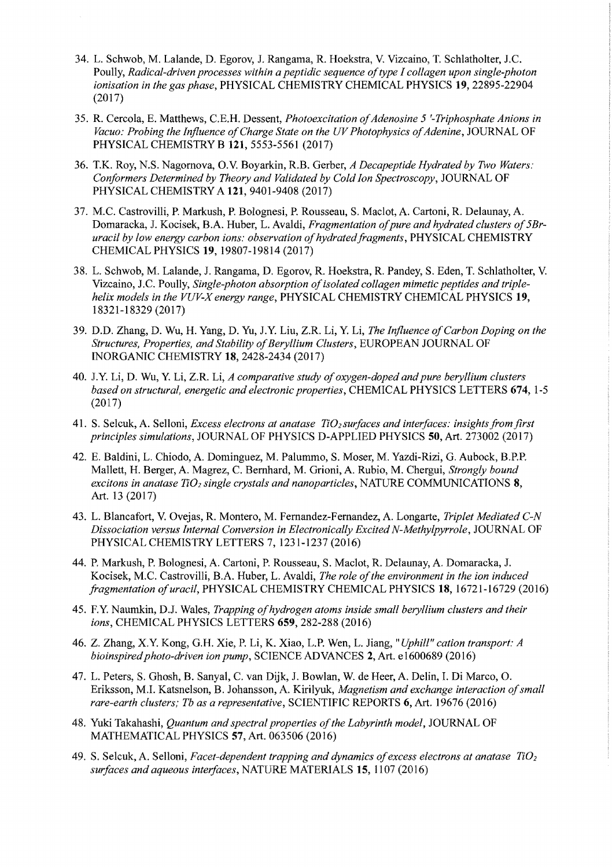- 34. L. Schwob, M. Lalande, D. Egorov, 1. Rangama, R. Hoekstra, V. Vizcaino, T. Schlatholter, J.C. Poully, *Radical-driven processes within a peptidic sequence oftype I collagen upon single-photon ionisation in the gas phase,* PHYSICAL CHEMISTRY CHEMICAL PHYSICS 19, 22895-22904 (2017)
- 35. R. Cercola, E. Matthews, e.E.H. Dessent, *Photoexcitation ofAdenosine* 5 *'-Triphosphate Anions in*  Vacuo: Probing the Influence of Charge State on the UV Photophysics of Adenine, JOURNAL OF PHYSICAL CHEMISTRY B 121, 5553-5561 (2017)
- 36. T.K. Roy, N.S. Nagornova, O.V. Boyarkin, R.B. Gerber, *A Decapeptide Hydrated by Two Waters: Conformers Determined by Theory and Validated by Cold Ion Spectroscopy,* JOURNAL OF PHYSICAL CHEMISTRY A 121, 9401-9408 (2017)
- 37. M.C. Castrovilli, P. Markush, P. Bolognesi, P. Rousseau, S. Mac1ot, A. Cartoni, R. Delaunay, A. Domaracka, J. Kocisek, B.A. Huber, L. Avaldi, *Fragmentation of pure and hydrated clusters of 5Bruracil by low energy carbon ions: observation ofhydrated fragments* , PHYSICAL CHEMISTRY CHEMICAL PHYSICS 19, 19807-19814 (2017)
- 38. L. Schwob, M. Lalande, J. Rangama, D. Egorov, R. Hoekstra, R. Pandey, S. Eden, T. Schlatholter, V. Vizcaino, J.C. Poully, Single-photon absorption of isolated collagen mimetic peptides and triple*helix models in the VUV-X energy range,* PHYSICAL CHEMISTRY CHEMICAL PHYSICS 19, 18321-18329 (2017)
- 39. D.D. Zhang, D. Wu, H. Yang, D. Yu, J.Y. Liu, Z.R. Li, Y. Li, *The Influence of Carbon Doping on the Structures, Properties, and Stability ofBeryllium Clusters,* EUROPEAN JOURNAL OF INORGANIC CHEMISTRY 18, 2428-2434 (2017)
- 40. 1.y. Li, D. Wu, Y. Li, Z.R. Li, *A comparative study ofoxygen-doped andpure beryllium clusters based on structural, energetic and electronic properties,* CHEMICAL PHYSICS LETTERS 674, 1-5 (2017)
- 41. S. Selcuk, A. Selloni, *Excess electrons at anatase Ti02 surfaces and interfaces: insights from first principles simulations,* JOURNAL OF PHYSICS D-APPLIED PHYSICS 50, Art. 273002 (2017)
- 42. E. Baldini, L. Chiodo, A. Dominguez, M. Palummo, S. Moser, M. Yazdi-Rizi, G. Aubock, B.P.P. Mallett, H. Berger, A. Magrez, C. Bernhard, M. Grioni, A. Rubio, M. Chergui, *Strongly bound excitons in anatase TiD] single crystals and nanoparticles,* NATURE COMMUNICATIONS 8, Art. 13 (2017)
- 43. L. Blancafort, V. Ovejas, R. Montero, M. Fernandez-Fernandez, A. Longarte, *Triplet Mediated C-N Dissociation versus Internal Conversion in Electronically Excited N-Methylpyrrole,* JOURNAL OF PHYSICAL CHEMISTRY LETTERS 7,1231-1237 (2016)
- 44. P. Markush, P. Bolognesi, A. Cartoni, P. Rousseau, S. Maclot, R. Delaunay, A. Domaracka, J. Kocisek, M.C. Castrovilli, B.A. Huber, L. Avaldi, *The role of the environment in the ion induced fragmentation ofuracil,* PHYSICAL CHEMISTRY CHEMICAL PHYSICS 18, 16721-16729 (2016)
- 45. F.Y. Naumkin, D.l Wales, *Trapping ofhydrogen atoms inside small beryllium clusters and their ions,* CHEMICAL PHYSICS LETTERS 659,282-288 (2016)
- 46. Z. Zhang, X.Y. Kong, G.H. Xie, P. Li, K. Xiao, L.P. Wen, L. Jiang, *"Uphill" cation transport: A bioinspired photo-driven ion pump,* SCIENCE ADVANCES 2, Art. e 1600689 (2016)
- 47. L. Peters, S. Ghosh, B. Sanyal, C. van Dijk, J. Bowlan, W. de Heer, A. Delin, I. Di Marco, O. Eriksson, M.L Katsnelson, B. Johansson, A. Kirilyuk, *Magnetism and exchange interaction ofsmall rare-earth clusters; Tb as a representative,* SCIENTIFIC REPORTS 6, Art. 19676 (2016)
- 48. Yuki Takahashi, *Quantum and spectral properties ofthe Labyrinth model,* JOURNAL OF MATHEMATICAL PHYSICS 57, Art. 063506 (2016)
- 49. S. Selcuk, A. Selloni, *Facet-dependent trapping and dynamics of excess electrons at anatase TiO<sub>2</sub> surfaces and aqueous interfaces,* NATURE MATERIALS 15, 1107 (2016)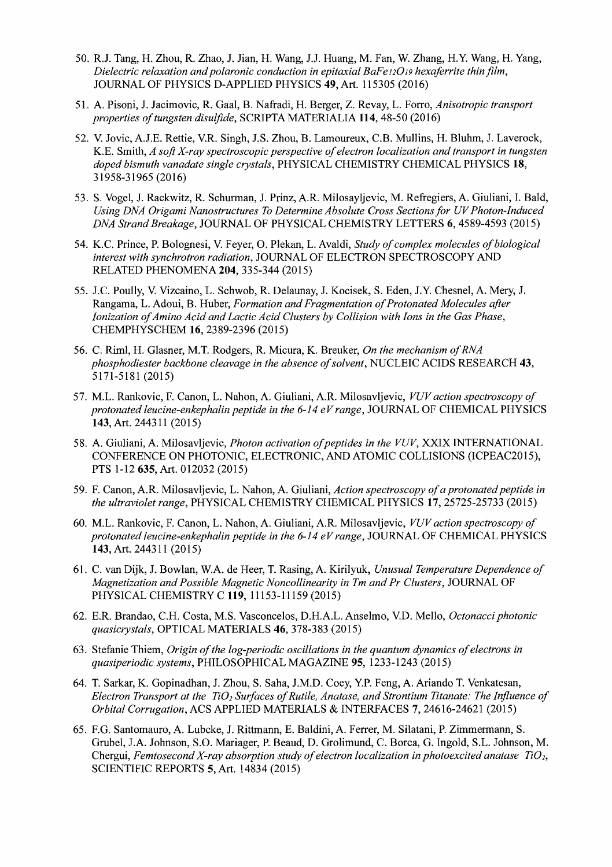- 50. R.J. Tang, H. Zhou, R. Zhao, 1. Jian, H. Wang, 1.1. Huang, M. Fan, W. Zhang, H.Y. Wang, H. Yang, *Dielectric relaxation andpolaronic conduction in epitaxial BaFe12019 hexaferrite thin film,*  JOURNAL OF PHYSICS D-APPLIED PHYSICS 49, Art. 115305 (2016)
- 51. A. Pisoni, J. Jacimovic, R. Gaal, B. Nafradi, H. Berger, Z. Revay, L. Forro, *Anisotropic transport properties oftungsten disulfide,* SCRIPTA MATERIALIA 114, 48-50 (2016)
- 52. V. Jovic, A.1.E. Rettie, V.R. Singh, J.S. Zhou, B. Lamoureux, C.B. Mullins, H. Bluhm, 1. Laverock, K.E. Smith, *A soft X-ray spectroscopic perspective of electron localization and transport in tungsten doped bismuth vanadate single crystals,* PHYSICAL CHEMISTRY CHEMICAL PHYSICS 18, 31958-31965(2016)
- 53. S. Vogel, 1. Rackwitz, R. Schurman, 1. Prinz, A.R. Milosayljevic, M. Refregiers, A. Giuliani, I. Bald, *Using DNA Origami Nanostructures To Determine Absolute Cross Sections for UV Photon-Induced DNA Strand Breakage,* JOURNAL OF PHYSICAL CHEMISTRY LETTERS 6,4589-4593 (2015)
- 54. K.C. Prince, P. Bolognesi, V. Feyer, O. Plekan, L. Avaldi, *Study ofcomplex molecules ofbiological interest with synchrotron radiation,* JOURNAL OF ELECTRON SPECTROSCOPY AND RELATED PHENOMENA 204,335-344 (2015)
- *55. 1.C.* Poully, V. Vizcaino, L. Schwob, R. Delaunay, 1. Kocisek, S. Eden, 1.Y. Chesnel, A. Mery, J. Rangama, L. Adoui, B. Huber, *Formation and Fragmentation ofProtonated Molecules after Ionization ofAmino Acid and Lactic Acid Clusters by Collision with Ions in the Gas Phase,*  CHEMPHYSCHEM 16,2389-2396 (2015)
- 56. C. Riml, H. Glasner, M.T. Rodgers, R. Micura, K. Breuker, *On the mechanism ofRNA phosphodiester backbone cleavage in the absence ofsolvent,* NUCLEIC ACIDS RESEARCH 43, 5171-5181 (2015)
- 57. M.L. Rankovic, F. Canon, L. Nahon, A. Giuliani, A.R. Milosavljevic, *VUV action spectroscopy of protonated leucine-enkephalin peptide in the* 6-14 *eVrange,* JOURNAL OF CHEMICAL PHYSICS 143, Art. 244311 (2015)
- 58. A. Giuliani, A. Milosavljevic, *Photon activation ofpeptides in the VUV,* XXIX INTERNATIONAL CONFERENCE ON PHOTONIC, ELECTRONIC, AND ATOMIC COLLISIONS (ICPEAC2015), PTS 1-12635, Art. 012032 (2015)
- 59. F. Canon, A.R. Milosavljevic, L. Nahon, A. Giuliani, Action spectroscopy of a protonated peptide in *the ultraviolet range,* PHYSICAL CHEMISTRY CHEMICAL PHYSICS 17,25725-25733 (2015)
- 60. M.L. Rankovic, F. Canon, L. Nahon, A. Giuliani, A.R. Milosavljevic, *VUVaction spectroscopy of protonated leucine-enkephalin peptide in the* 6-14 *eVrange,* JOURNAL OF CHEMICAL PHYSICS 143,Art. 244311 (2015)
- 61. C. van Dijk, J. Bowlan, W.A. de Heer, T. Rasing, A. Kirilyuk, *Unusual Temperature Dependence of Magnetization and Possible Magnetic Noncollinearity in Tm and Pr Clusters,* JOURNAL OF PHYSICAL CHEMISTRY C 119, 11153-11159 (2015)
- 62. E.R. Brandao, C.H. Costa, M.S. Vasconcelos, D.H.A.L. Anselmo, V.D. Mello, *Octonacci photonic quasicrystals,* OPTICAL MATERIALS 46, 378-383 (2015)
- 63. Stefanie Thiem, *Origin of the log-periodic oscillations in the quantum dynamics of electrons in quasiperiodic systems,* PHILOSOPHICAL MAGAZINE 95, 1233-1243 (2015)
- 64. T. Sarkar, K. Gopinadhan, 1. Zhou, S. Saha, 1.M.D. Coey, Y.P. Feng, A. Ariando T. Venkatesan, *Electron Transport at the TiO<sub>2</sub> Surfaces of Rutile, Anatase, and Strontium Titanate: The Influence of Orbital Corrugation,* ACS APPLIED MATERIALS & INTERFACES 7, 24616-24621 (2015)
- 65. F.G. Santomauro, A. Lubcke, J. Rittmann, E. Baldini, A. Ferrer, M. Silatani, P. Zimmermann, S. Grubel, 1.A. Johnson, S.O. Mariager, P. Beaud, D. Grolimund, C. Borca, G. Ingold, S.L. Johnson, M. Chergui, *Femtosecond X-ray absorption study of electron localization in photoexcited anatase TiO<sub>2</sub>,* SCIENTIFIC REPORTS 5, Art. 14834 (2015)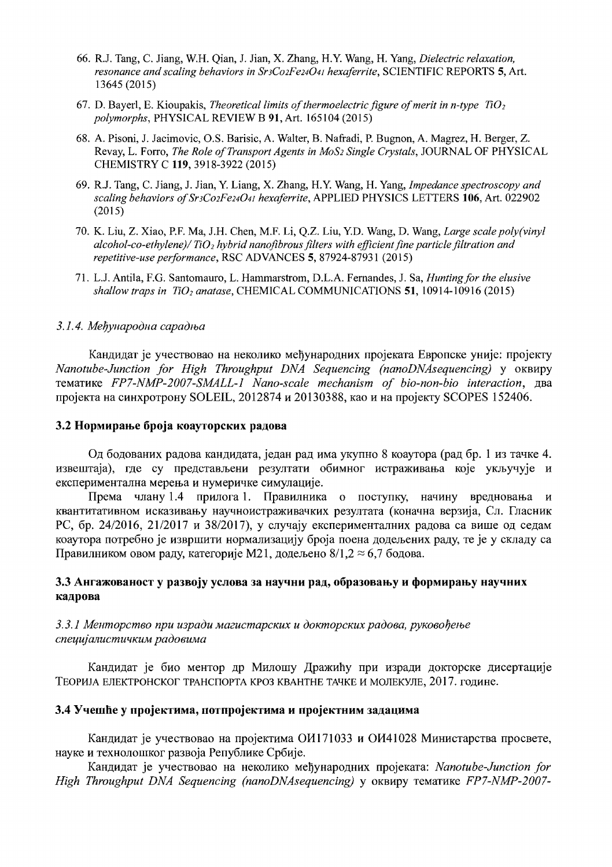- 66. R.1. Tang, C. Jiang, W.H. Qian, J. Jian, X. Zhang, RY. Wang, H. Yang, *Dielectric relaxation, resonance and scaling behaviors in SnCo2Fe24041 hexaferrite,* SCIENTIFIC REPORTS 5, Art. 13645 (2015)
- 67. D. Bayerl, E. Kioupakis, *Theoretical limits of thermoelectric figure of merit in n-type*  $T_1O_2$ *polymorphs,* PHYSICAL REVIEW B 91, Art. 165104 (2015)
- 68. A. Pisoni, J. Jacimovic, O.S. Barisic, A. Walter, B. Nafradi, P. Bugnon, A. Magrez, H. Berger, Z. Revay, 1. Forro, *The Role ofTransport Agents in MOS2 Single Crystals,* JOURNAL OF PHYSICAL CHEMISTRY C 119,3918-3922 (2015)
- 69. R.1. Tang, C. Jiang, J. Jian, Y. Liang, X. Zhang, H.Y. Wang, H. Yang, *Impedance spectroscopy and scaling behaviors ofSr3C02Fe24041 hexaferrite,* APPLIED PHYSICS LETTERS 106, Art. 022902 (2015)
- 70. K. Liu, Z. Xiao, P.F. Ma, J.H. Chen, M.F. Li, Q.Z. Liu, Y.D. Wang, D. Wang, *Large scale po/y(viny/*  alcohol-co-ethylene)/ TiO<sub>2</sub> hybrid nanofibrous filters with efficient fine particle filtration and *repetitive-use performance,* RSC ADVANCES 5, 87924-87931 (2015)
- 71. L.1. Antila, F.G. Santornauro, 1. Harnrnarstrorn, D.L.A. Fernandes, J. Sa, *Huntingfor the elusive shallow traps in TiO<sub>2</sub> anatase, CHEMICAL COMMUNICATIONS* 51, 10914-10916 (2015)

#### 3.1.4. Мећународна сарадња

Кандидат је учествовао на неколико међународних пројеката Европске уније: пројекту *Nanotube-Junction for High Throughput DNA Sequencing (nanoDNAsequencing)* Y OKBMPY тематике *FP7-NMP-2007-SMALL-1 Nano-scale mechanism of bio-non-bio interaction*, два пројекта на синхротрону SOLEIL, 2012874 и 20130388, као и на пројекту SCOPES 152406.

#### 3.2 Нормирање броја коауторских радова

Од бодованих радова кандидата, један рад има укупно 8 коаутора (рад бр. 1 из тачке 4. извештаја), где су представљени резултати обимног истраживања које укључује и експериментална мерења и нумеричке симулације.

Према члану 1.4 прилога 1. Правилника о поступку, начину вредновања и квантитативном исказивању научноистраживачких резултата (коначна верзија, Сл. Гласник РС, бр. 24/2016, 21/2017 и 38/2017), у случају експерименталних радова са више од седам. коаутора потребно је извршити нормализацију броја поена додељених раду, те је у складу са Правилником овом раду, категорије М21, додељено 8/1,2  $\approx$  6,7 бодова.

# $3.3$  Ангажованост у развоју услова за научни рад, образовању и формирању научних кадрова

### *3.3.1 MellmOpCm60 npu u3paou Ma2ucmapCKUX u oOKmopcKux pao06a, PYK060befbe cnelfujQJlUcmU'.fKUM pao06UMa*

Кандидат је био ментор др Милошу Дражићу при изради докторске дисертације ТЕОРИЈА ЕЛЕКТРОНСКОГ ТРАНСПОРТА КРОЗ КВАНТНЕ ТАЧКЕ И МОЛЕКУЛЕ, 2017. године.

### 3.4 Учешће у пројектима, потпројектима и пројектним задацима

Кандидат је учествовао на пројектима ОИ171033 и ОИ41028 Министарства просвете, HaYKe H TeXHOJIOIllKOr pa3Boja Peny6JIHKe Cp6Mje.

Кандидат је учествовао на неколико међународних пројеката: *Nanotube-Junction for High Throughput DNA Sequencing (nanoDNAsequencing)* у оквиру тематике *FP7-NMP-2007-*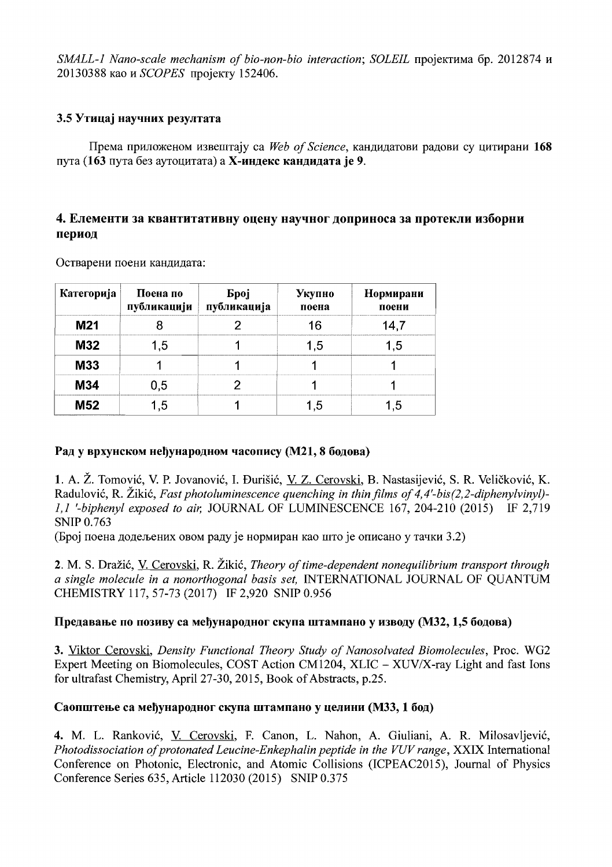SMALL-1 Nano-scale mechanism of bio-non-bio interaction; SOLEIL пројектима бр. 2012874 и 20130388 као и SCOPES пројекту 152406.

# 3.5 Утицај научних резултата

Према приложеном извештају са Web of Science, кандидатови радови су цитирани 168 пута (163 пута без аутоцитата) а Х-индекс кандидата је 9.

# 4. Елементи за квантитативну оцену научног доприноса за протекли изборни период

| Категорија | Поена по<br>публикацији | <b>Spoj</b><br>публикација | Укупно<br>поена | Нормирани<br>поени |
|------------|-------------------------|----------------------------|-----------------|--------------------|
| M21        |                         |                            |                 | '47                |
| <b>M32</b> | l 5                     |                            |                 |                    |
| M33        |                         |                            |                 |                    |
| <b>M34</b> | 0.5                     |                            |                 |                    |
| <b>M52</b> | ້.                      |                            |                 |                    |

Остварени поени кандидата:

# Рад у врхунском неђународном часопису (М21, 8 бодова)

1. A. Ž. Tomović, V. P. Jovanović, I. Đurišić, V. Z. Cerovski, B. Nastasijević, S. R. Veličković, K. Radulović, R. Žikić, Fast photoluminescence quenching in thin films of 4,4'-bis(2,2-diphenylyinyl)-1,1 '-biphenyl exposed to air, JOURNAL OF LUMINESCENCE 167, 204-210 (2015) IF 2,719 **SNIP 0.763** 

(Број поена додељених овом раду је нормиран као што је описано у тачки 3.2)

2. M. S. Dražić, V. Cerovski, R. Žikić, Theory of time-dependent nonequilibrium transport through a single molecule in a nonorthogonal basis set, INTERNATIONAL JOURNAL OF QUANTUM CHEMISTRY 117, 57-73 (2017) IF 2,920 SNIP 0.956

# Предавање по позиву са међународног скупа штампано у изводу (МЗ2, 1,5 бодова)

3. Viktor Cerovski, Density Functional Theory Study of Nanosolvated Biomolecules, Proc. WG2 Expert Meeting on Biomolecules, COST Action CM1204, XLIC - XUV/X-ray Light and fast Ions for ultrafast Chemistry, April 27-30, 2015, Book of Abstracts, p.25.

# Саопштење са међународног скупа штампано у целини (МЗЗ, 1 бод)

4. M. L. Ranković, V. Cerovski, F. Canon, L. Nahon, A. Giuliani, A. R. Milosavljević, Photodissociation of protonated Leucine-Enkephalin peptide in the VUV range, XXIX International Conference on Photonic, Electronic, and Atomic Collisions (ICPEAC2015), Journal of Physics Conference Series 635, Article 112030 (2015) SNIP 0.375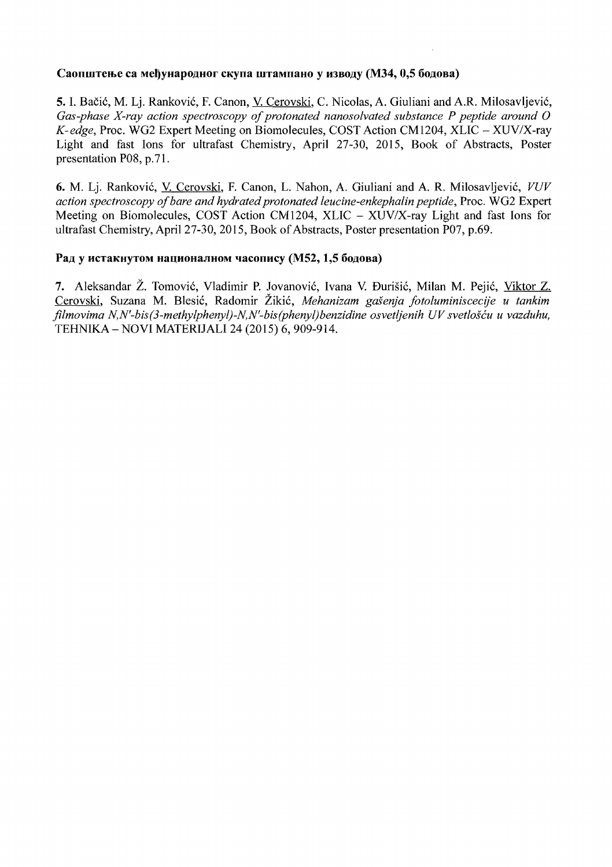# Саопштење са међународног скупа штампано у изводу (М34, 0,5 бодова)

**5.** I. Baci6, M. Lj. Rankovi6, F. Canon, V. Cerovski, C. Nicolas, A. Giuliani and A.R. Milosavljevic, Gas-phase X-ray action spectroscopy of protonated nanosolvated substance P peptide around O *K-edge,* Proc. WG2 Expert Meeting on Biomolecules, COST Action CM1204, XLIC - XUV/X-ray Light and fast Ions for ultrafast Chemistry, April 27-30, 2015, Book of Abstracts, Poster presentation P08, p.7l.

**6.** M. Lj. Rankovic, V. Cerovski, F. Canon, L. Nahon, A. Giuliani and A. R. Milosavljevic, *VUV action spectroscopy ofbare and hydrated protonated leucine-enkephalin peptide,* Proc. WG2 Expert Meeting on Biomolecules, COST Action CM1204, XLIC  $-$  XUV/X-ray Light and fast Ions for ultrafast Chemistry, April 27-30, 2015, Book of Abstracts, Poster presentation P07, p.69.

# Рад у истакнутом националном часопису (М52, 1,5 бодова)

7. Aleksandar Ž. Tomović, Vladimir P. Jovanović, Ivana V. Đurišić, Milan M. Pejić, <u>Viktor Z.</u> Cerovski, Suzana M. Blesić, Radomir Žikić, Mehanizam gašenja fotoluminiscecije u tankim *filmovima N,N'-bis(3-methylphenyl)-N,N'-bis(phenyl)benzidine osvetljenih UV svetloscu u vazduhu,*  TEHNIKA - NOVI MATERIJALI 24 (2015) 6, 909-914.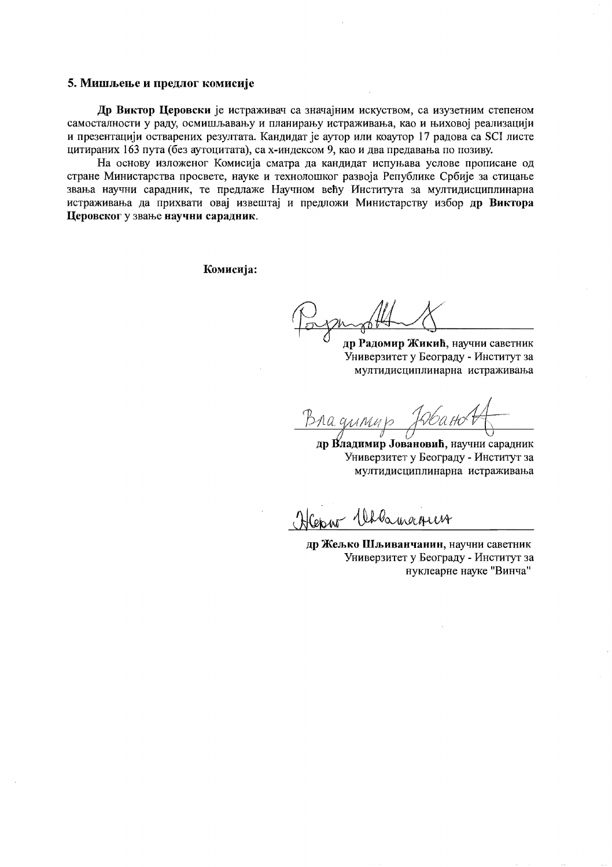#### 5. Мишљење и предлог комисије

Др Виктор Церовски је истраживач са значајним искуством, са изузетним степеном самосталности у раду, осмишљавању и планирању истраживања, као и њиховој реализацији и презентацији остварених резултата. Кандидат је аутор или коаутор 17 радова са SCI листе цитираних 163 пута (без аутоцитата), са х-индексом 9, као и два предавања по позиву.

На основу изложеног Комисија сматра да кандидат испуњава услове прописане од стране Министарства просвете, науке и технолошког развоја Републике Србије за стицање звања научни сарадник, те предлаже Научном већу Института за мултидисциплинарна истраживања да прихвати овај извештај и предложи Министарству избор др Виктора Церовског у звање научни сарадник.

Комисија:

др Радомир Жикић, научни саветник Универзитет у Београду - Институт за мултидисциплинарна истраживања

Bha g*uinn* 

др Владимир Јовановић, научни сарадник Универзитет у Београду - Институт за мултидисциплинарна истраживања

Herry Whoamarrer

др Жељко Шљиванчанин, научни саветник Универзитет у Београду - Институт за нуклеарне науке "Винча"